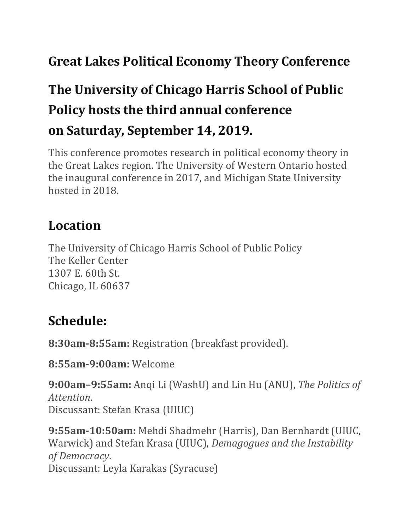## **Great Lakes Political Economy Theory Conference**

# **The University of Chicago Harris School of Public Policy hosts the third annual conference on Saturday, September 14, 2019.**

This conference promotes research in political economy theory in the Great Lakes region. The University of Western Ontario hosted the inaugural conference in 2017, and Michigan State University hosted in 2018.

### **Location**

The University of Chicago Harris School of Public Policy The Keller Center 1307 E. 60th St. Chicago, IL 60637

#### **Schedule:**

**8:30am-8:55am:** Registration (breakfast provided).

**8:55am-9:00am:** Welcome

**9:00am–9:55am:** Anqi Li (WashU) and Lin Hu (ANU), *The Politics of Attention*. Discussant: Stefan Krasa (UIUC)

**9:55am-10:50am:** Mehdi Shadmehr (Harris), Dan Bernhardt (UIUC, Warwick) and Stefan Krasa (UIUC), *Demagogues and the Instability of Democracy*. Discussant: Leyla Karakas (Syracuse)